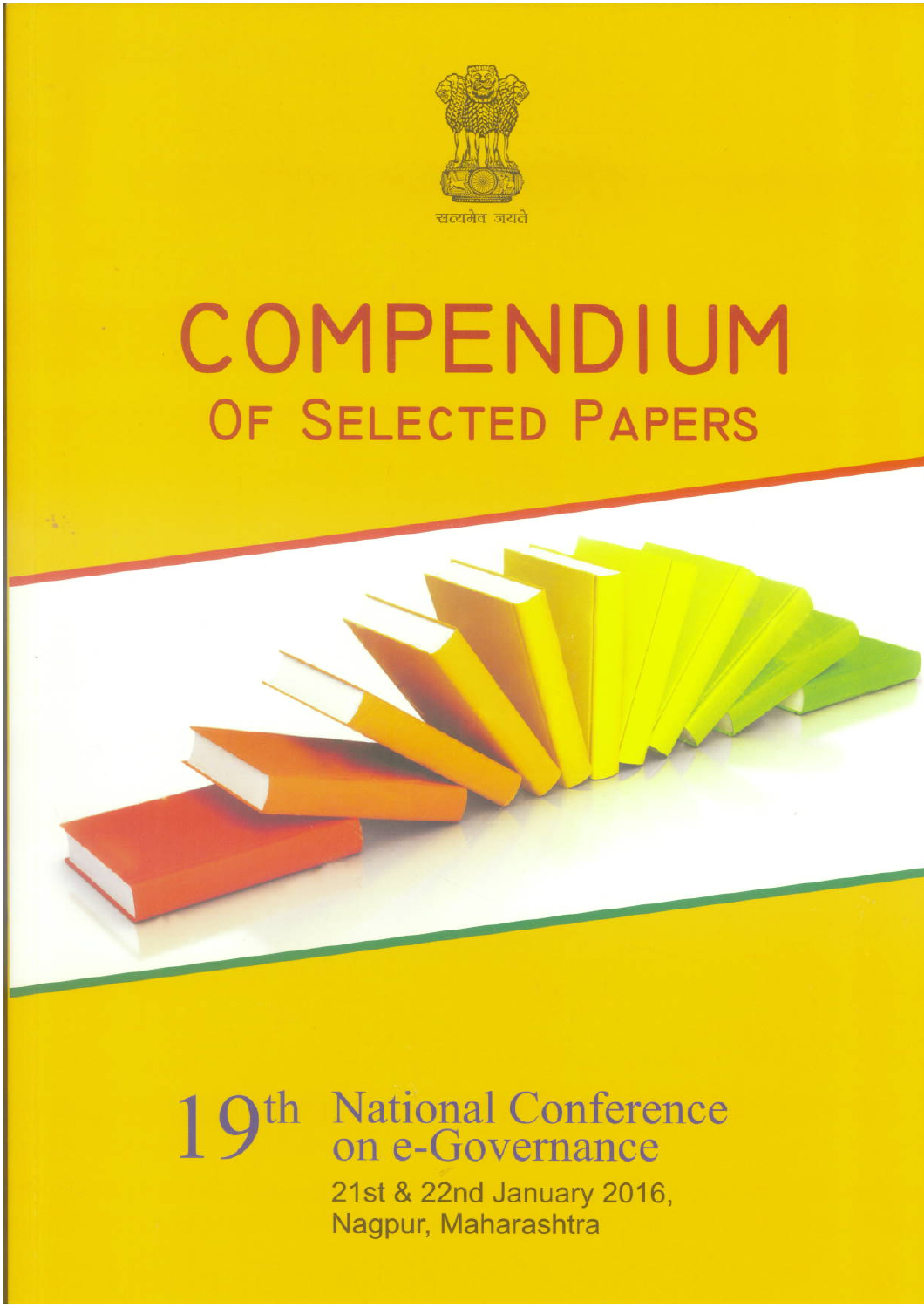

# COMPENDIUM OF SELECTED PAPERS

# h National Conference 19 on e-Governance 21st & 22nd January 2016, Nagpur, Maharashtra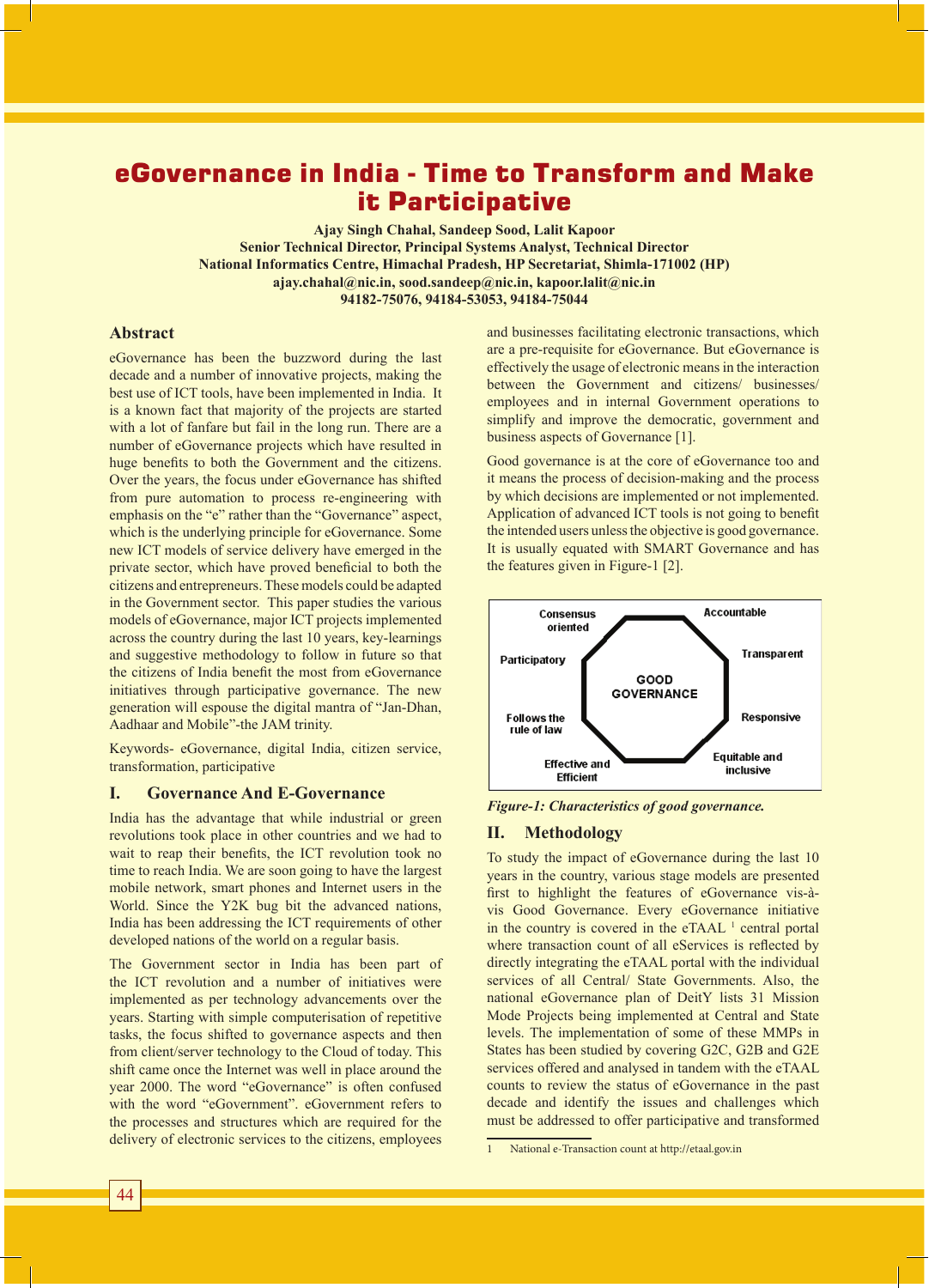# eGovernance in India - Time to Transform and Make it Participative

**Ajay Singh Chahal, Sandeep Sood, Lalit Kapoor Senior Technical Director, Principal Systems Analyst, Technical Director National Informatics Centre, Himachal Pradesh, HP Secretariat, Shimla-171002 (HP) ajay.chahal@nic.in, sood.sandeep@nic.in, kapoor.lalit@nic.in 94182-75076, 94184-53053, 94184-75044**

# **Abstract**

eGovernance has been the buzzword during the last decade and a number of innovative projects, making the best use of ICT tools, have been implemented in India. It is a known fact that majority of the projects are started with a lot of fanfare but fail in the long run. There are a number of eGovernance projects which have resulted in huge benefits to both the Government and the citizens. Over the years, the focus under eGovernance has shifted from pure automation to process re-engineering with emphasis on the "e" rather than the "Governance" aspect, which is the underlying principle for eGovernance. Some new ICT models of service delivery have emerged in the private sector, which have proved beneficial to both the citizens and entrepreneurs. These models could be adapted in the Government sector. This paper studies the various models of eGovernance, major ICT projects implemented across the country during the last 10 years, key-learnings and suggestive methodology to follow in future so that the citizens of India benefit the most from eGovernance initiatives through participative governance. The new generation will espouse the digital mantra of "Jan-Dhan, Aadhaar and Mobile"-the JAM trinity.

Keywords- eGovernance, digital India, citizen service, transformation, participative

#### **I. Governance And E-Governance**

India has the advantage that while industrial or green revolutions took place in other countries and we had to wait to reap their benefits, the ICT revolution took no time to reach India. We are soon going to have the largest mobile network, smart phones and Internet users in the World. Since the Y2K bug bit the advanced nations, India has been addressing the ICT requirements of other developed nations of the world on a regular basis.

The Government sector in India has been part of the ICT revolution and a number of initiatives were implemented as per technology advancements over the years. Starting with simple computerisation of repetitive tasks, the focus shifted to governance aspects and then from client/server technology to the Cloud of today. This shift came once the Internet was well in place around the year 2000. The word "eGovernance" is often confused with the word "eGovernment", eGovernment refers to the processes and structures which are required for the delivery of electronic services to the citizens, employees

and businesses facilitating electronic transactions, which are a pre-requisite for eGovernance. But eGovernance is effectively the usage of electronic means in the interaction between the Government and citizens/ businesses/ employees and in internal Government operations to simplify and improve the democratic, government and business aspects of Governance [1].

Good governance is at the core of eGovernance too and it means the process of decision-making and the process by which decisions are implemented or not implemented. Application of advanced ICT tools is not going to benefit the intended users unless the objective is good governance. It is usually equated with SMART Governance and has the features given in Figure-1 [2].



*Figure-1: Characteristics of good governance.*

#### **II. Methodology**

To study the impact of eGovernance during the last 10 years in the country, various stage models are presented first to highlight the features of eGovernance vis-àvis Good Governance. Every eGovernance initiative in the country is covered in the  $e\text{TAAL}$ <sup>1</sup> central portal where transaction count of all eServices is reflected by directly integrating the eTAAL portal with the individual services of all Central/ State Governments. Also, the national eGovernance plan of DeitY lists 31 Mission Mode Projects being implemented at Central and State levels. The implementation of some of these MMPs in States has been studied by covering G2C, G2B and G2E services offered and analysed in tandem with the eTAAL counts to review the status of eGovernance in the past decade and identify the issues and challenges which must be addressed to offer participative and transformed

<sup>1</sup> National e-Transaction count at http://etaal.gov.in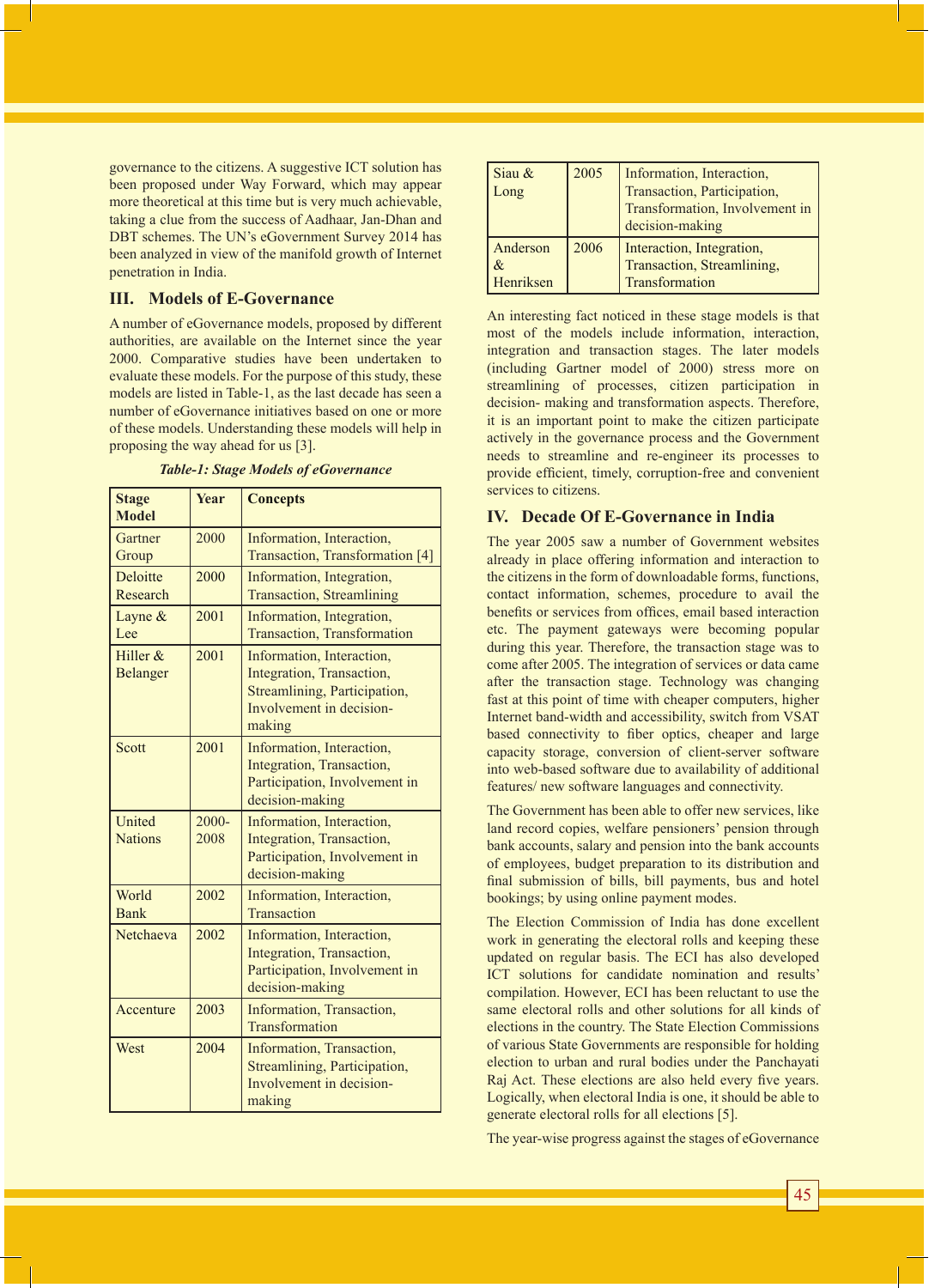governance to the citizens. A suggestive ICT solution has been proposed under Way Forward, which may appear more theoretical at this time but is very much achievable, taking a clue from the success of Aadhaar, Jan-Dhan and DBT schemes. The UN's eGovernment Survey 2014 has been analyzed in view of the manifold growth of Internet penetration in India.

## **III. Models of E-Governance**

A number of eGovernance models, proposed by different authorities, are available on the Internet since the year 2000. Comparative studies have been undertaken to evaluate these models. For the purpose of this study, these models are listed in Table-1, as the last decade has seen a number of eGovernance initiatives based on one or more of these models. Understanding these models will help in proposing the way ahead for us [3].

| <b>Stage</b><br><b>Model</b>  | <b>Year</b> | <b>Concepts</b>                                                                                                              |
|-------------------------------|-------------|------------------------------------------------------------------------------------------------------------------------------|
| Gartner<br>Group              | 2000        | Information, Interaction,<br>Transaction, Transformation [4]                                                                 |
| Deloitte<br>Research          | 2000        | Information, Integration,<br><b>Transaction, Streamlining</b>                                                                |
| Layne $\&$<br>Lee             | 2001        | Information, Integration,<br><b>Transaction, Transformation</b>                                                              |
| Hiller $&$<br><b>Belanger</b> | 2001        | Information, Interaction,<br>Integration, Transaction,<br>Streamlining, Participation,<br>Involvement in decision-<br>making |
| Scott                         | 2001        | Information, Interaction,<br>Integration, Transaction,<br>Participation, Involvement in<br>decision-making                   |

Information, Interaction, Integration, Transaction, Participation, Involvement in

Integration, Transaction, Participation, Involvement in

Streamlining, Participation, Involvement in decision-

decision-making

2002 | Information, Interaction, **Transaction** 

decision-making

**Transformation** 

Netchaeva 2002 | Information, Interaction,

Accenture 2003 Information, Transaction,

West 2004 Information, Transaction,

making

**United Nations** 

World Bank

2000- 2008

*Table-1: Stage Models of eGovernance*

| Siau &    | 2005 | Information, Interaction,      |
|-----------|------|--------------------------------|
| Long      |      | Transaction, Participation,    |
|           |      | Transformation, Involvement in |
|           |      | decision-making                |
| Anderson  | 2006 | Interaction, Integration,      |
| $\&$      |      | Transaction, Streamlining,     |
| Henriksen |      | Transformation                 |

An interesting fact noticed in these stage models is that most of the models include information, interaction, integration and transaction stages. The later models (including Gartner model of 2000) stress more on streamlining of processes, citizen participation in decision- making and transformation aspects. Therefore, it is an important point to make the citizen participate actively in the governance process and the Government needs to streamline and re-engineer its processes to provide efficient, timely, corruption-free and convenient services to citizens.

## **IV. Decade Of E-Governance in India**

The year 2005 saw a number of Government websites already in place offering information and interaction to the citizens in the form of downloadable forms, functions, contact information, schemes, procedure to avail the benefits or services from offices, email based interaction etc. The payment gateways were becoming popular during this year. Therefore, the transaction stage was to come after 2005. The integration of services or data came after the transaction stage. Technology was changing fast at this point of time with cheaper computers, higher Internet band-width and accessibility, switch from VSAT based connectivity to fiber optics, cheaper and large capacity storage, conversion of client-server software into web-based software due to availability of additional features/ new software languages and connectivity.

The Government has been able to offer new services, like land record copies, welfare pensioners' pension through bank accounts, salary and pension into the bank accounts of employees, budget preparation to its distribution and final submission of bills, bill payments, bus and hotel bookings; by using online payment modes.

The Election Commission of India has done excellent work in generating the electoral rolls and keeping these updated on regular basis. The ECI has also developed ICT solutions for candidate nomination and results' compilation. However, ECI has been reluctant to use the same electoral rolls and other solutions for all kinds of elections in the country. The State Election Commissions of various State Governments are responsible for holding election to urban and rural bodies under the Panchayati Raj Act. These elections are also held every five years. Logically, when electoral India is one, it should be able to generate electoral rolls for all elections [5].

The year-wise progress against the stages of eGovernance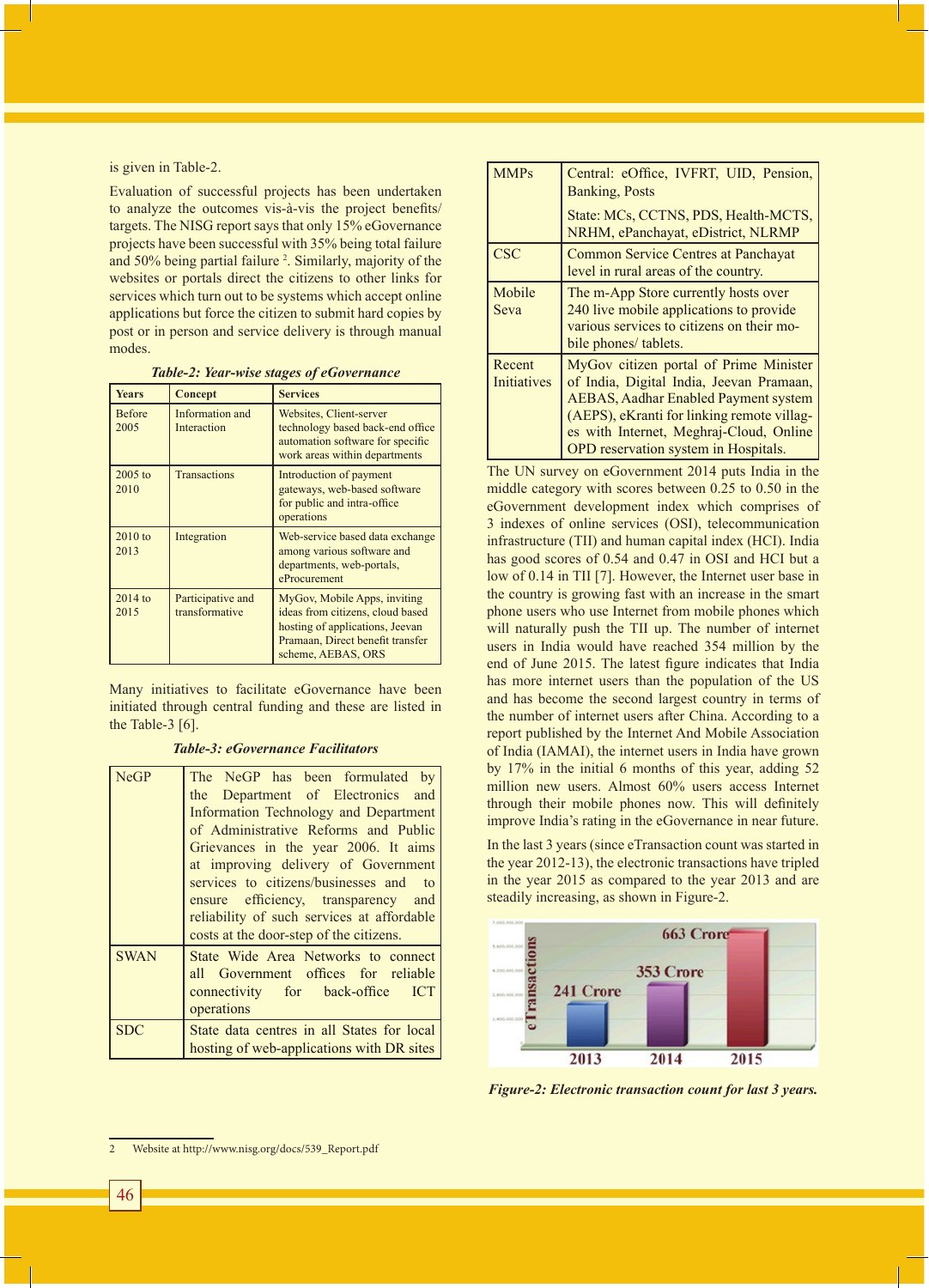is given in Table-2.

Evaluation of successful projects has been undertaken to analyze the outcomes vis-à-vis the project benefits/ targets. The NISG report says that only 15% eGovernance projects have been successful with 35% being total failure and 50% being partial failure <sup>2</sup>. Similarly, majority of the websites or portals direct the citizens to other links for services which turn out to be systems which accept online applications but force the citizen to submit hard copies by post or in person and service delivery is through manual modes.

| <b>Years</b>          | Concept                             | <b>Services</b>                                                                                                                                               |
|-----------------------|-------------------------------------|---------------------------------------------------------------------------------------------------------------------------------------------------------------|
| <b>Before</b><br>2005 | Information and<br>Interaction      | Websites, Client-server<br>technology based back-end office<br>automation software for specific<br>work areas within departments                              |
| 2005 to<br>2010       | <b>Transactions</b>                 | Introduction of payment<br>gateways, web-based software<br>for public and intra-office<br>operations                                                          |
| $2010$ to<br>2013     | Integration                         | Web-service based data exchange<br>among various software and<br>departments, web-portals,<br>eProcurement                                                    |
| $2014$ to<br>2015     | Participative and<br>transformative | MyGov, Mobile Apps, inviting<br>ideas from citizens, cloud based<br>hosting of applications, Jeevan<br>Pramaan, Direct benefit transfer<br>scheme, AEBAS, ORS |

Many initiatives to facilitate eGovernance have been initiated through central funding and these are listed in the Table-3 [6].

*Table-3: eGovernance Facilitators*

| NeGP        | The NeGP has been formulated by<br>the Department of Electronics and<br>Information Technology and Department<br>of Administrative Reforms and Public<br>Grievances in the year 2006. It aims<br>at improving delivery of Government<br>services to citizens/businesses and to<br>ensure efficiency, transparency and<br>reliability of such services at affordable<br>costs at the door-step of the citizens. |
|-------------|----------------------------------------------------------------------------------------------------------------------------------------------------------------------------------------------------------------------------------------------------------------------------------------------------------------------------------------------------------------------------------------------------------------|
| <b>SWAN</b> | State Wide Area Networks to connect<br>all Government offices for reliable<br>connectivity for back-office<br><b>ICT</b><br>operations                                                                                                                                                                                                                                                                         |
| <b>SDC</b>  | State data centres in all States for local<br>hosting of web-applications with DR sites                                                                                                                                                                                                                                                                                                                        |

| <b>MMPs</b>                  | Central: eOffice, IVFRT, UID, Pension,<br><b>Banking, Posts</b>                                                                                                                                                                                                    |
|------------------------------|--------------------------------------------------------------------------------------------------------------------------------------------------------------------------------------------------------------------------------------------------------------------|
|                              | State: MCs, CCTNS, PDS, Health-MCTS,<br>NRHM, ePanchayat, eDistrict, NLRMP                                                                                                                                                                                         |
| <b>CSC</b>                   | <b>Common Service Centres at Panchayat</b><br>level in rural areas of the country.                                                                                                                                                                                 |
| Mobile<br>Seva               | The m-App Store currently hosts over<br>240 live mobile applications to provide<br>various services to citizens on their mo-<br>bile phones/ tablets.                                                                                                              |
| Recent<br><b>Initiatives</b> | MyGov citizen portal of Prime Minister<br>of India, Digital India, Jeevan Pramaan,<br><b>AEBAS, Aadhar Enabled Payment system</b><br>(AEPS), eKranti for linking remote villag-<br>es with Internet, Meghraj-Cloud, Online<br>OPD reservation system in Hospitals. |

The UN survey on eGovernment 2014 puts India in the middle category with scores between 0.25 to 0.50 in the eGovernment development index which comprises of 3 indexes of online services (OSI), telecommunication infrastructure (TII) and human capital index (HCI). India has good scores of 0.54 and 0.47 in OSI and HCI but a low of 0.14 in TII [7]. However, the Internet user base in the country is growing fast with an increase in the smart phone users who use Internet from mobile phones which will naturally push the TII up. The number of internet users in India would have reached 354 million by the end of June 2015. The latest figure indicates that India has more internet users than the population of the US and has become the second largest country in terms of the number of internet users after China. According to a report published by the Internet And Mobile Association of India (IAMAI), the internet users in India have grown by 17% in the initial 6 months of this year, adding 52 million new users. Almost 60% users access Internet through their mobile phones now. This will definitely improve India's rating in the eGovernance in near future.

In the last 3 years (since eTransaction count was started in the year 2012-13), the electronic transactions have tripled in the year 2015 as compared to the year 2013 and are steadily increasing, as shown in Figure-2.



*Figure-2: Electronic transaction count for last 3 years.*

<sup>2</sup> Website at http://www.nisg.org/docs/539\_Report.pdf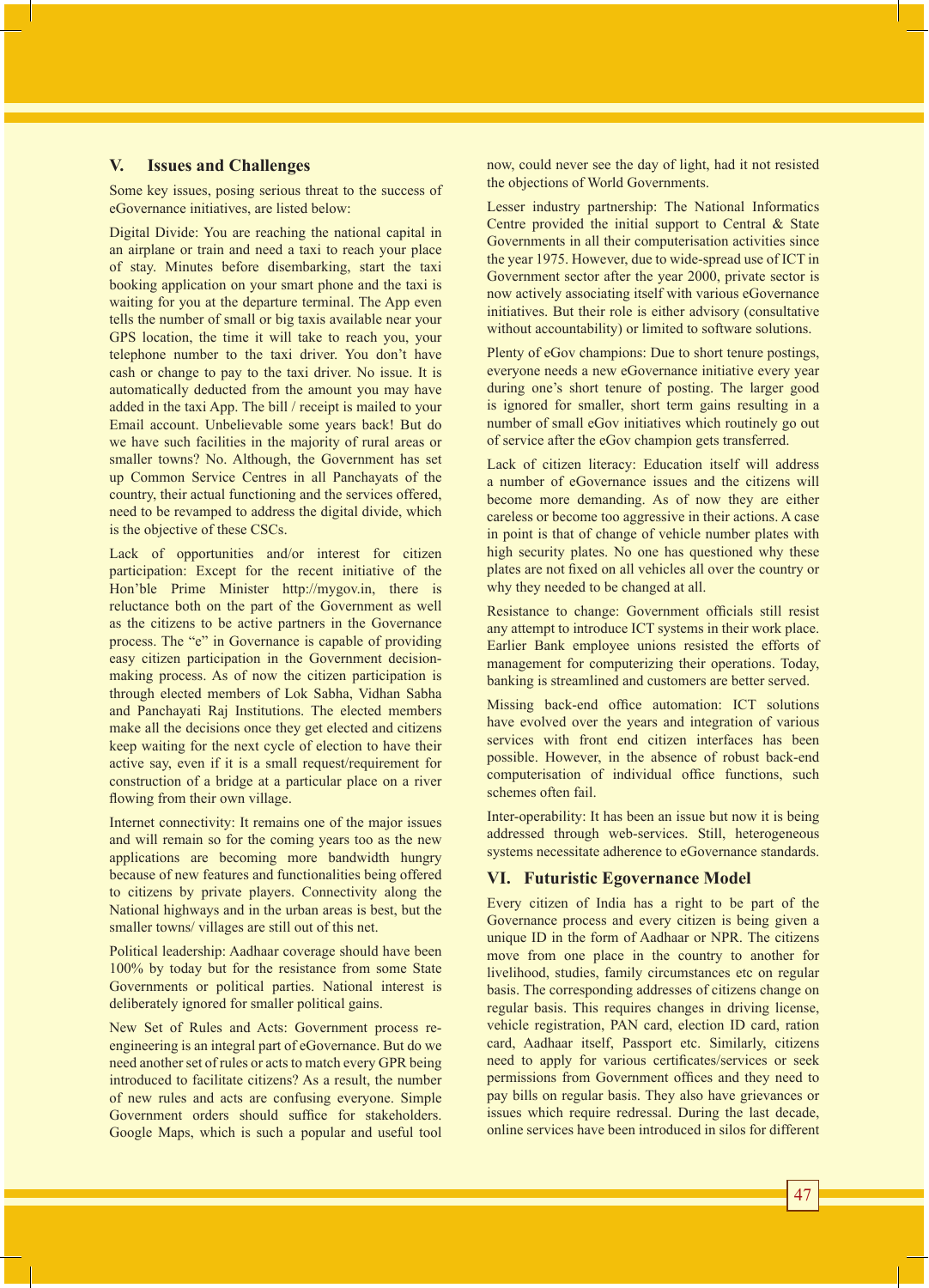### **V. Issues and Challenges**

Some key issues, posing serious threat to the success of eGovernance initiatives, are listed below:

Digital Divide: You are reaching the national capital in an airplane or train and need a taxi to reach your place of stay. Minutes before disembarking, start the taxi booking application on your smart phone and the taxi is waiting for you at the departure terminal. The App even tells the number of small or big taxis available near your GPS location, the time it will take to reach you, your telephone number to the taxi driver. You don't have cash or change to pay to the taxi driver. No issue. It is automatically deducted from the amount you may have added in the taxi App. The bill / receipt is mailed to your Email account. Unbelievable some years back! But do we have such facilities in the majority of rural areas or smaller towns? No. Although, the Government has set up Common Service Centres in all Panchayats of the country, their actual functioning and the services offered, need to be revamped to address the digital divide, which is the objective of these CSCs.

Lack of opportunities and/or interest for citizen participation: Except for the recent initiative of the Hon'ble Prime Minister http://mygov.in, there is reluctance both on the part of the Government as well as the citizens to be active partners in the Governance process. The "e" in Governance is capable of providing easy citizen participation in the Government decisionmaking process. As of now the citizen participation is through elected members of Lok Sabha, Vidhan Sabha and Panchayati Raj Institutions. The elected members make all the decisions once they get elected and citizens keep waiting for the next cycle of election to have their active say, even if it is a small request/requirement for construction of a bridge at a particular place on a river flowing from their own village.

Internet connectivity: It remains one of the major issues and will remain so for the coming years too as the new applications are becoming more bandwidth hungry because of new features and functionalities being offered to citizens by private players. Connectivity along the National highways and in the urban areas is best, but the smaller towns/ villages are still out of this net.

Political leadership: Aadhaar coverage should have been 100% by today but for the resistance from some State Governments or political parties. National interest is deliberately ignored for smaller political gains.

New Set of Rules and Acts: Government process reengineering is an integral part of eGovernance. But do we need another set of rules or acts to match every GPR being introduced to facilitate citizens? As a result, the number of new rules and acts are confusing everyone. Simple Government orders should suffice for stakeholders. Google Maps, which is such a popular and useful tool

now, could never see the day of light, had it not resisted the objections of World Governments.

Lesser industry partnership: The National Informatics Centre provided the initial support to Central & State Governments in all their computerisation activities since the year 1975. However, due to wide-spread use of ICT in Government sector after the year 2000, private sector is now actively associating itself with various eGovernance initiatives. But their role is either advisory (consultative without accountability) or limited to software solutions.

Plenty of eGov champions: Due to short tenure postings, everyone needs a new eGovernance initiative every year during one's short tenure of posting. The larger good is ignored for smaller, short term gains resulting in a number of small eGov initiatives which routinely go out of service after the eGov champion gets transferred.

Lack of citizen literacy: Education itself will address a number of eGovernance issues and the citizens will become more demanding. As of now they are either careless or become too aggressive in their actions. A case in point is that of change of vehicle number plates with high security plates. No one has questioned why these plates are not fixed on all vehicles all over the country or why they needed to be changed at all.

Resistance to change: Government officials still resist any attempt to introduce ICT systems in their work place. Earlier Bank employee unions resisted the efforts of management for computerizing their operations. Today, banking is streamlined and customers are better served.

Missing back-end office automation: ICT solutions have evolved over the years and integration of various services with front end citizen interfaces has been possible. However, in the absence of robust back-end computerisation of individual office functions, such schemes often fail.

Inter-operability: It has been an issue but now it is being addressed through web-services. Still, heterogeneous systems necessitate adherence to eGovernance standards.

# **VI. Futuristic Egovernance Model**

Every citizen of India has a right to be part of the Governance process and every citizen is being given a unique ID in the form of Aadhaar or NPR. The citizens move from one place in the country to another for livelihood, studies, family circumstances etc on regular basis. The corresponding addresses of citizens change on regular basis. This requires changes in driving license, vehicle registration, PAN card, election ID card, ration card, Aadhaar itself, Passport etc. Similarly, citizens need to apply for various certificates/services or seek permissions from Government offices and they need to pay bills on regular basis. They also have grievances or issues which require redressal. During the last decade, online services have been introduced in silos for different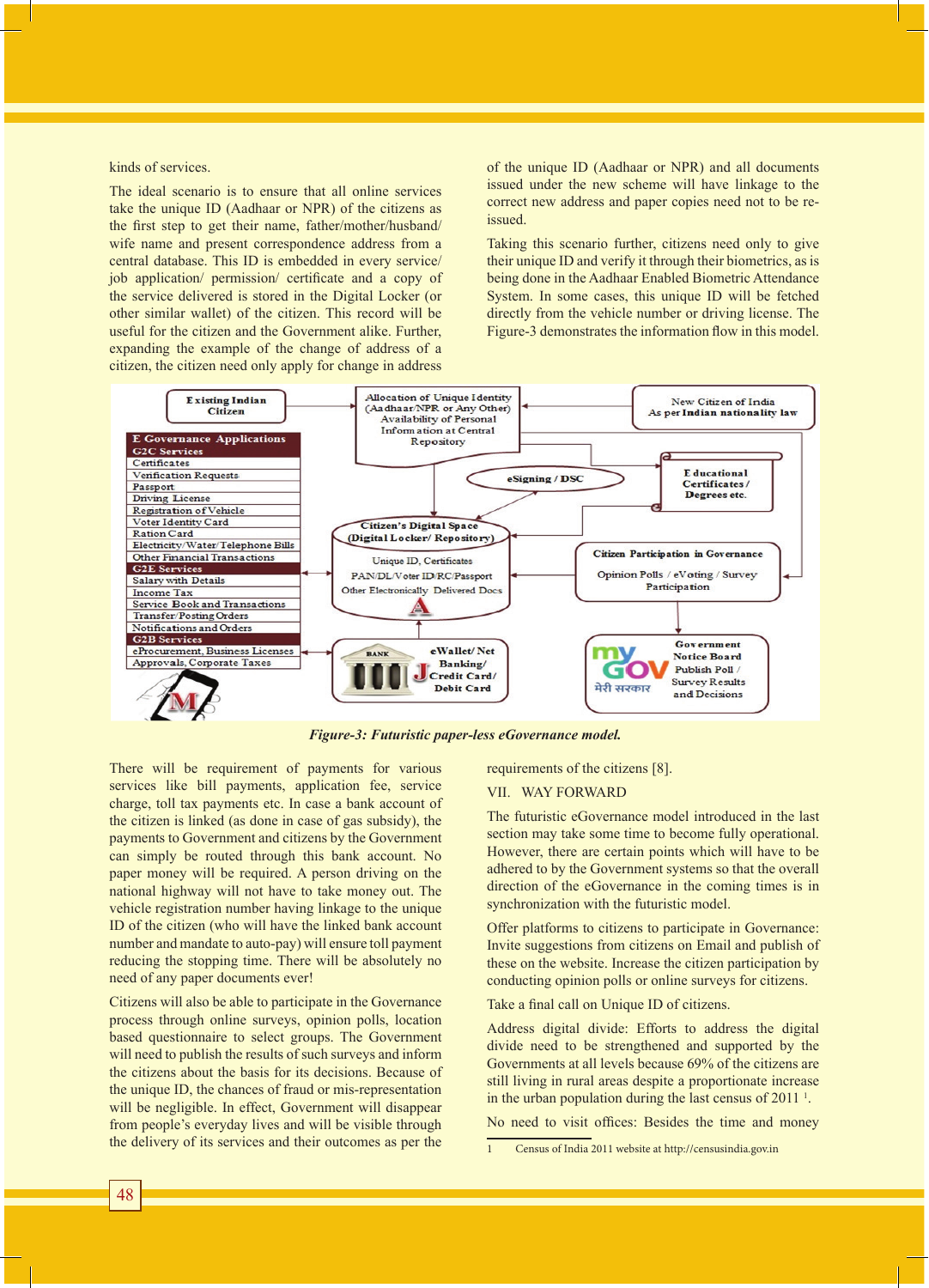kinds of services.

The ideal scenario is to ensure that all online services take the unique ID (Aadhaar or NPR) of the citizens as the first step to get their name, father/mother/husband/ wife name and present correspondence address from a central database. This ID is embedded in every service/ job application/ permission/ certificate and a copy of the service delivered is stored in the Digital Locker (or other similar wallet) of the citizen. This record will be useful for the citizen and the Government alike. Further, expanding the example of the change of address of a citizen, the citizen need only apply for change in address

of the unique ID (Aadhaar or NPR) and all documents issued under the new scheme will have linkage to the correct new address and paper copies need not to be reissued.

Taking this scenario further, citizens need only to give their unique ID and verify it through their biometrics, as is being done in the Aadhaar Enabled Biometric Attendance System. In some cases, this unique ID will be fetched directly from the vehicle number or driving license. The Figure-3 demonstrates the information flow in this model.



*Figure-3: Futuristic paper-less eGovernance model.*

There will be requirement of payments for various services like bill payments, application fee, service charge, toll tax payments etc. In case a bank account of the citizen is linked (as done in case of gas subsidy), the payments to Government and citizens by the Government can simply be routed through this bank account. No paper money will be required. A person driving on the national highway will not have to take money out. The vehicle registration number having linkage to the unique ID of the citizen (who will have the linked bank account number and mandate to auto-pay) will ensure toll payment reducing the stopping time. There will be absolutely no need of any paper documents ever!

Citizens will also be able to participate in the Governance process through online surveys, opinion polls, location based questionnaire to select groups. The Government will need to publish the results of such surveys and inform the citizens about the basis for its decisions. Because of the unique ID, the chances of fraud or mis-representation will be negligible. In effect, Government will disappear from people's everyday lives and will be visible through the delivery of its services and their outcomes as per the

requirements of the citizens [8].

#### VII. WAY FORWARD

The futuristic eGovernance model introduced in the last section may take some time to become fully operational. However, there are certain points which will have to be adhered to by the Government systems so that the overall direction of the eGovernance in the coming times is in synchronization with the futuristic model.

Offer platforms to citizens to participate in Governance: Invite suggestions from citizens on Email and publish of these on the website. Increase the citizen participation by conducting opinion polls or online surveys for citizens.

Take a final call on Unique ID of citizens.

Address digital divide: Efforts to address the digital divide need to be strengthened and supported by the Governments at all levels because 69% of the citizens are still living in rural areas despite a proportionate increase in the urban population during the last census of 2011<sup>1</sup>.

No need to visit offices: Besides the time and money

<sup>1</sup> Census of India 2011 website at http://censusindia.gov.in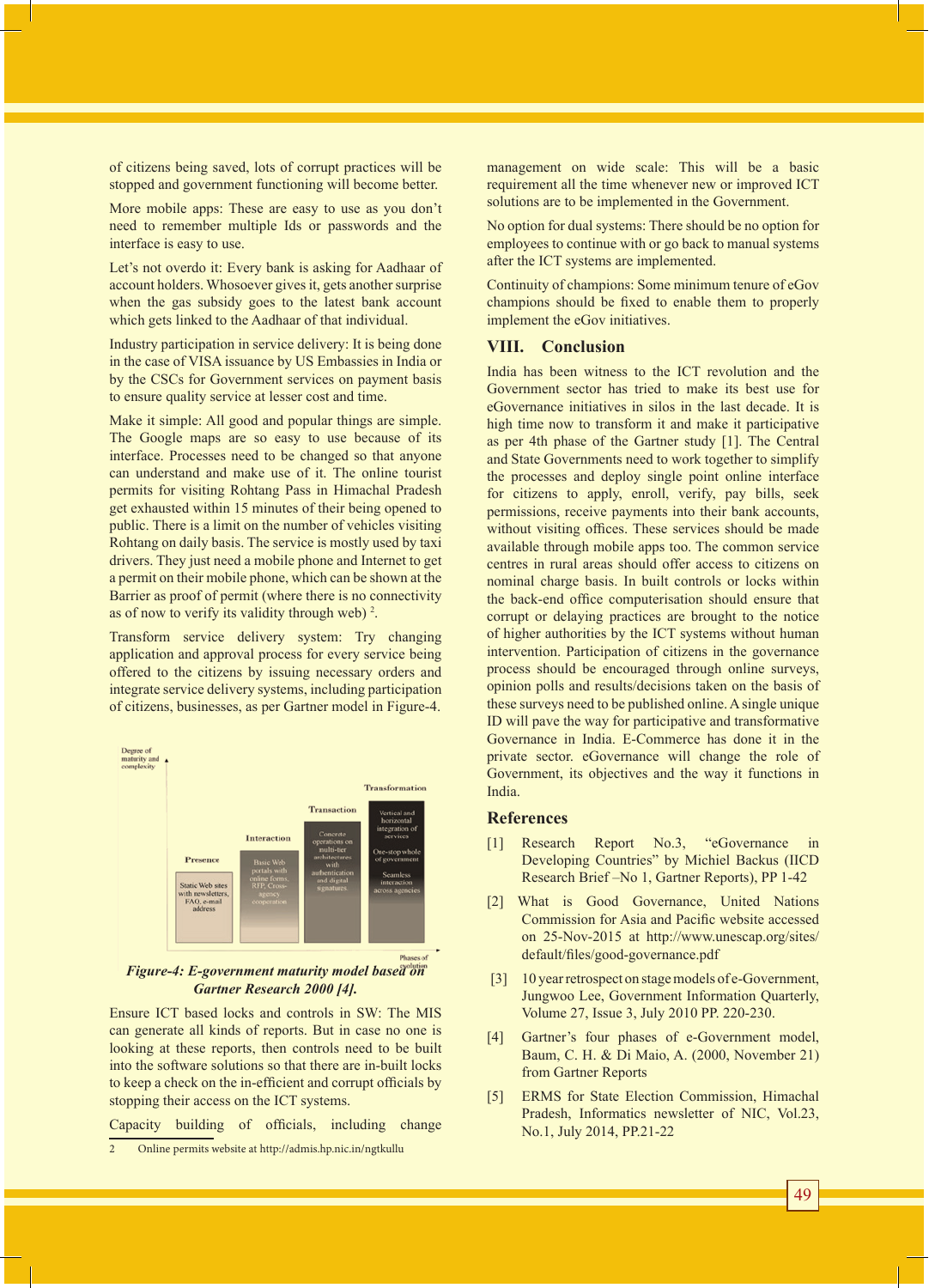of citizens being saved, lots of corrupt practices will be stopped and government functioning will become better.

More mobile apps: These are easy to use as you don't need to remember multiple Ids or passwords and the interface is easy to use.

Let's not overdo it: Every bank is asking for Aadhaar of account holders. Whosoever gives it, gets another surprise when the gas subsidy goes to the latest bank account which gets linked to the Aadhaar of that individual.

Industry participation in service delivery: It is being done in the case of VISA issuance by US Embassies in India or by the CSCs for Government services on payment basis to ensure quality service at lesser cost and time.

Make it simple: All good and popular things are simple. The Google maps are so easy to use because of its interface. Processes need to be changed so that anyone can understand and make use of it. The online tourist permits for visiting Rohtang Pass in Himachal Pradesh get exhausted within 15 minutes of their being opened to public. There is a limit on the number of vehicles visiting Rohtang on daily basis. The service is mostly used by taxi drivers. They just need a mobile phone and Internet to get a permit on their mobile phone, which can be shown at the Barrier as proof of permit (where there is no connectivity as of now to verify its validity through web)  $2$ .

Transform service delivery system: Try changing application and approval process for every service being offered to the citizens by issuing necessary orders and integrate service delivery systems, including participation of citizens, businesses, as per Gartner model in Figure-4.



#### *Figure-4: E-government maturity model based on Gartner Research 2000 [4].*

Ensure ICT based locks and controls in SW: The MIS can generate all kinds of reports. But in case no one is looking at these reports, then controls need to be built into the software solutions so that there are in-built locks to keep a check on the in-efficient and corrupt officials by stopping their access on the ICT systems.

Capacity building of officials, including change 2 Online permits website at http://admis.hp.nic.in/ngtkullu

management on wide scale: This will be a basic requirement all the time whenever new or improved ICT solutions are to be implemented in the Government.

No option for dual systems: There should be no option for employees to continue with or go back to manual systems after the ICT systems are implemented.

Continuity of champions: Some minimum tenure of eGov champions should be fixed to enable them to properly implement the eGov initiatives.

### **VIII. Conclusion**

India has been witness to the ICT revolution and the Government sector has tried to make its best use for eGovernance initiatives in silos in the last decade. It is high time now to transform it and make it participative as per 4th phase of the Gartner study [1]. The Central and State Governments need to work together to simplify the processes and deploy single point online interface for citizens to apply, enroll, verify, pay bills, seek permissions, receive payments into their bank accounts, without visiting offices. These services should be made available through mobile apps too. The common service centres in rural areas should offer access to citizens on nominal charge basis. In built controls or locks within the back-end office computerisation should ensure that corrupt or delaying practices are brought to the notice of higher authorities by the ICT systems without human intervention. Participation of citizens in the governance process should be encouraged through online surveys, opinion polls and results/decisions taken on the basis of these surveys need to be published online. A single unique ID will pave the way for participative and transformative Governance in India. E-Commerce has done it in the private sector. eGovernance will change the role of Government, its objectives and the way it functions in India.

#### **References**

- [1] Research Report No.3, "eGovernance in Developing Countries" by Michiel Backus (IICD Research Brief –No 1, Gartner Reports), PP 1-42
- [2] What is Good Governance, United Nations Commission for Asia and Pacific website accessed on 25-Nov-2015 at http://www.unescap.org/sites/ default/files/good-governance.pdf
- [3] 10 year retrospect on stage models of e-Government, Jungwoo Lee, Government Information Quarterly, Volume 27, Issue 3, July 2010 PP. 220-230.
- [4] Gartner's four phases of e-Government model, Baum, C. H. & Di Maio, A. (2000, November 21) from Gartner Reports
- [5] ERMS for State Election Commission, Himachal Pradesh, Informatics newsletter of NIC, Vol.23, No.1, July 2014, PP.21-22